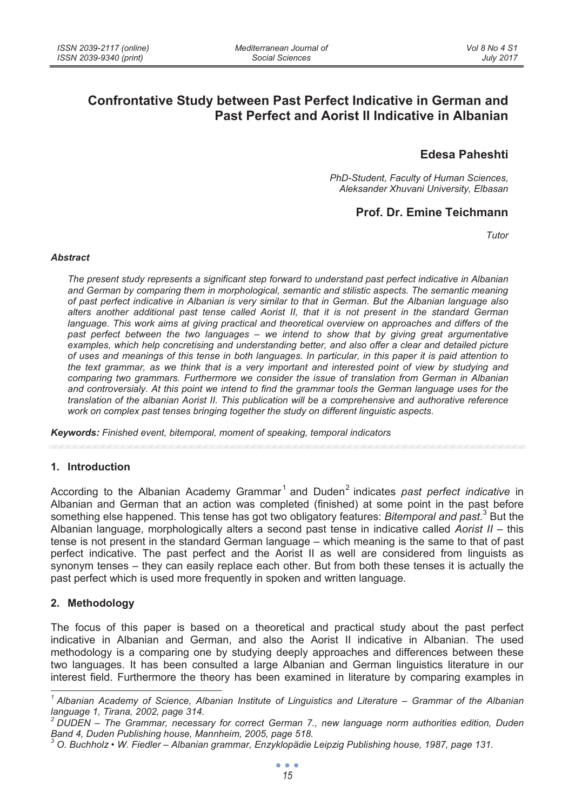# **Confrontative Study between Past Perfect Indicative in German and Past Perfect and Aorist II Indicative in Albanian**

# **Edesa Paheshti**

*PhD-Student, Faculty of Human Sciences, Aleksander Xhuvani University, Elbasan* 

## **Prof. Dr. Emine Teichmann**

*Tutor* 

#### *Abstract*

*The present study represents a significant step forward to understand past perfect indicative in Albanian and German by comparing them in morphological, semantic and stilistic aspects. The semantic meaning of past perfect indicative in Albanian is very similar to that in German. But the Albanian language also alters another additional past tense called Aorist II, that it is not present in the standard German*  language. This work aims at giving practical and theoretical overview on approaches and differs of the *past perfect between the two languages – we intend to show that by giving great argumentative examples, which help concretising and understanding better, and also offer a clear and detailed picture of uses and meanings of this tense in both languages. In particular, in this paper it is paid attention to the text grammar, as we think that is a very important and interested point of view by studying and comparing two grammars. Furthermore we consider the issue of translation from German in Albanian and controversialy. At this point we intend to find the grammar tools the German language uses for the translation of the albanian Aorist II. This publication will be a comprehensive and authorative reference work on complex past tenses bringing together the study on different linguistic aspects.* 

*Keywords: Finished event, bitemporal, moment of speaking, temporal indicators* 

### **1. Introduction**

According to the Albanian Academy Grammar<sup>1</sup> and Duden<sup>2</sup> indicates past perfect *indicative* in Albanian and German that an action was completed (finished) at some point in the past before something else happened. This tense has got two obligatory features: *Bitemporal and past*.<sup>3</sup> But the Albanian language, morphologically alters a second past tense in indicative called *Aorist II* – this tense is not present in the standard German language – which meaning is the same to that of past perfect indicative. The past perfect and the Aorist II as well are considered from linguists as synonym tenses – they can easily replace each other. But from both these tenses it is actually the past perfect which is used more frequently in spoken and written language.

### **2. Methodology**

The focus of this paper is based on a theoretical and practical study about the past perfect indicative in Albanian and German, and also the Aorist II indicative in Albanian. The used methodology is a comparing one by studying deeply approaches and differences between these two languages. It has been consulted a large Albanian and German linguistics literature in our interest field. Furthermore the theory has been examined in literature by comparing examples in

*<sup>1</sup> Albanian Academy of Science, Albanian Institute of Linguistics and Literature – Grammar of the Albanian language 1, Tirana, 2002, page 314.* 

*<sup>2</sup> DUDEN – The Grammar, necessary for correct German 7., new language norm authorities edition, Duden Band 4, Duden Publishing house, Mannheim, 2005, page 518. 3*

*O. Buchholz • W. Fiedler – Albanian grammar, Enzyklopädie Leipzig Publishing house, 1987, page 131.*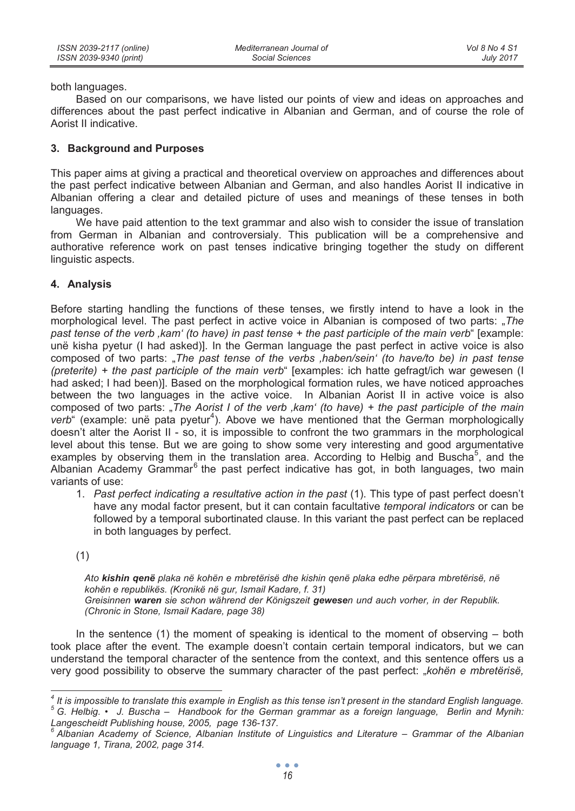both languages.

Based on our comparisons, we have listed our points of view and ideas on approaches and differences about the past perfect indicative in Albanian and German, and of course the role of Aorist II indicative.

### **3. Background and Purposes**

This paper aims at giving a practical and theoretical overview on approaches and differences about the past perfect indicative between Albanian and German, and also handles Aorist II indicative in Albanian offering a clear and detailed picture of uses and meanings of these tenses in both languages.

We have paid attention to the text grammar and also wish to consider the issue of translation from German in Albanian and controversialy. This publication will be a comprehensive and authorative reference work on past tenses indicative bringing together the study on different linguistic aspects.

### **4. Analysis**

Before starting handling the functions of these tenses, we firstly intend to have a look in the morphological level. The past perfect in active voice in Albanian is composed of two parts: "*The past tense of the verb 'kam' (to have) in past tense + the past participle of the main verb*" [example: unë kisha pyetur (I had asked)]. In the German language the past perfect in active voice is also composed of two parts: "*The past tense of the verbs 'haben/sein' (to have/to be) in past tense (preterite) + the past participle of the main verb*" [examples: ich hatte gefragt/ich war gewesen (I had asked; I had been)]. Based on the morphological formation rules, we have noticed approaches between the two languages in the active voice. In Albanian Aorist II in active voice is also composed of two parts: "*The Aorist I of the verb* , kam' (to have) + the past participle of the main verb<sup>"</sup> (example: unë pata pyetur<sup>4</sup>). Above we have mentioned that the German morphologically doesn't alter the Aorist II - so, it is impossible to confront the two grammars in the morphological level about this tense. But we are going to show some very interesting and good argumentative examples by observing them in the translation area. According to Helbig and Buscha<sup>5</sup>, and the Albanian Academy Grammar<sup>6</sup> the past perfect indicative has got, in both languages, two main variants of use:

1. *Past perfect indicating a resultative action in the past* (1). This type of past perfect doesn't have any modal factor present, but it can contain facultative *temporal indicators* or can be followed by a temporal subortinated clause. In this variant the past perfect can be replaced in both languages by perfect.

(1)

*Ato kishin qenë plaka në kohën e mbretërisë dhe kishin qenë plaka edhe përpara mbretërisë, në kohën e republikës. (Kronikë në gur, Ismail Kadare, f. 31) Greisinnen waren sie schon während der Königszeit gewesen und auch vorher, in der Republik. (Chronic in Stone, Ismail Kadare, page 38)* 

In the sentence (1) the moment of speaking is identical to the moment of observing – both took place after the event. The example doesn't contain certain temporal indicators, but we can understand the temporal character of the sentence from the context, and this sentence offers us a very good possibility to observe the summary character of the past perfect: "*kohën e mbretërisë,*

 *4 It is impossible to translate this example in English as this tense isn't present in the standard English language. 5 G. Helbig. • J. Buscha – Handbook for the German grammar as a foreign language, Berlin and Mynih: Langescheidt Publishing house, 2005, page 136-137.* 

<sup>&</sup>lt;sup>6</sup> Albanian Academy of Science, Albanian Institute of Linguistics and Literature – Grammar of the Albanian *language 1, Tirana, 2002, page 314.*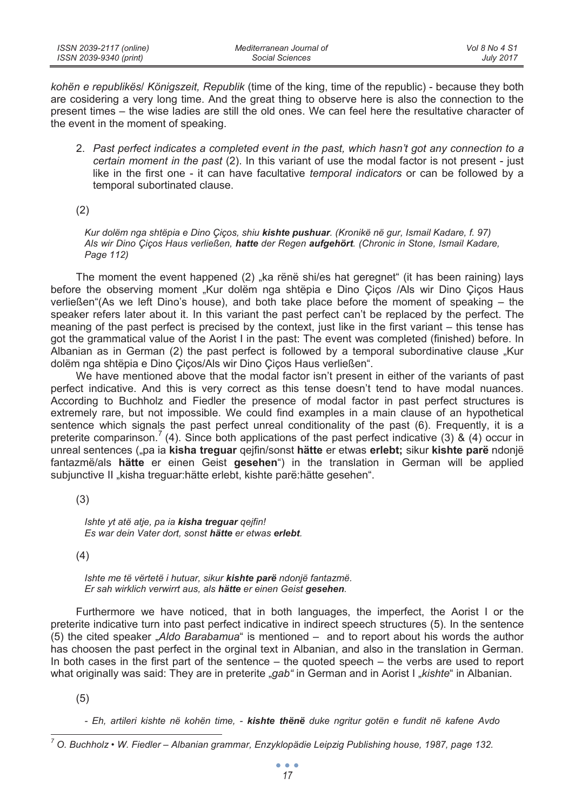| ISSN 2039-2117 (online) | Mediterranean Journal of | Vol 8 No 4 S1    |
|-------------------------|--------------------------|------------------|
| ISSN 2039-9340 (print)  | Social Sciences          | <b>July 2017</b> |

*kohën e republikës*/ *Königszeit, Republik* (time of the king, time of the republic) - because they both are cosidering a very long time. And the great thing to observe here is also the connection to the present times – the wise ladies are still the old ones. We can feel here the resultative character of the event in the moment of speaking.

2. *Past perfect indicates a completed event in the past, which hasn't got any connection to a certain moment in the past* (2). In this variant of use the modal factor is not present - just like in the first one - it can have facultative *temporal indicators* or can be followed by a temporal subortinated clause.

(2)

*Kur dolëm nga shtëpia e Dino Çiços, shiu kishte pushuar. (Kronikë në gur, Ismail Kadare, f. 97) Als wir Dino Çiços Haus verließen, hatte der Regen aufgehört. (Chronic in Stone, Ismail Kadare, Page 112)* 

The moment the event happened  $(2)$   $\overline{a}$  ka rënë shi/es hat geregnet" (it has been raining) lays before the observing moment "Kur dolëm nga shtëpia e Dino Çiços /Als wir Dino Çiços Haus verließen"(As we left Dino's house), and both take place before the moment of speaking – the speaker refers later about it. In this variant the past perfect can't be replaced by the perfect. The meaning of the past perfect is precised by the context, just like in the first variant – this tense has got the grammatical value of the Aorist I in the past: The event was completed (finished) before. In Albanian as in German (2) the past perfect is followed by a temporal subordinative clause "Kur dolëm nga shtëpia e Dino Çiços/Als wir Dino Çiços Haus verließen".

We have mentioned above that the modal factor isn't present in either of the variants of past perfect indicative. And this is very correct as this tense doesn't tend to have modal nuances. According to Buchholz and Fiedler the presence of modal factor in past perfect structures is extremely rare, but not impossible. We could find examples in a main clause of an hypothetical sentence which signals the past perfect unreal conditionality of the past (6). Frequently, it is a preterite comparinson.<sup>7</sup> (4). Since both applications of the past perfect indicative (3) & (4) occur in unreal sentences ("pa ia **kisha treguar** qejfin/sonst **hätte** er etwas **erlebt;** sikur **kishte parë** ndonjë fantazmë/als **hätte** er einen Geist **gesehen**") in the translation in German will be applied subjunctive II "kisha treguar:hätte erlebt, kishte parë:hätte gesehen".

(3)

*Ishte yt atë atje, pa ia kisha treguar qejfin! Es war dein Vater dort, sonst hätte er etwas erlebt.* 

(4)

*Ishte me të vërtetë i hutuar, sikur kishte parë ndonjë fantazmë. Er sah wirklich verwirrt aus, als hätte er einen Geist gesehen.* 

Furthermore we have noticed, that in both languages, the imperfect, the Aorist I or the preterite indicative turn into past perfect indicative in indirect speech structures (5). In the sentence (5) the cited speaker "*Aldo Barabamua*" is mentioned – and to report about his words the author has choosen the past perfect in the orginal text in Albanian, and also in the translation in German. In both cases in the first part of the sentence – the quoted speech – the verbs are used to report what originally was said: They are in preterite *"gab"* in German and in Aorist I "*kishte"* in Albanian.

(5)

*- Eh, artileri kishte në kohën time, - kishte thënë duke ngritur gotën e fundit në kafene Avdo* 

*<sup>7</sup> O. Buchholz • W. Fiedler – Albanian grammar, Enzyklopädie Leipzig Publishing house, 1987, page 132.*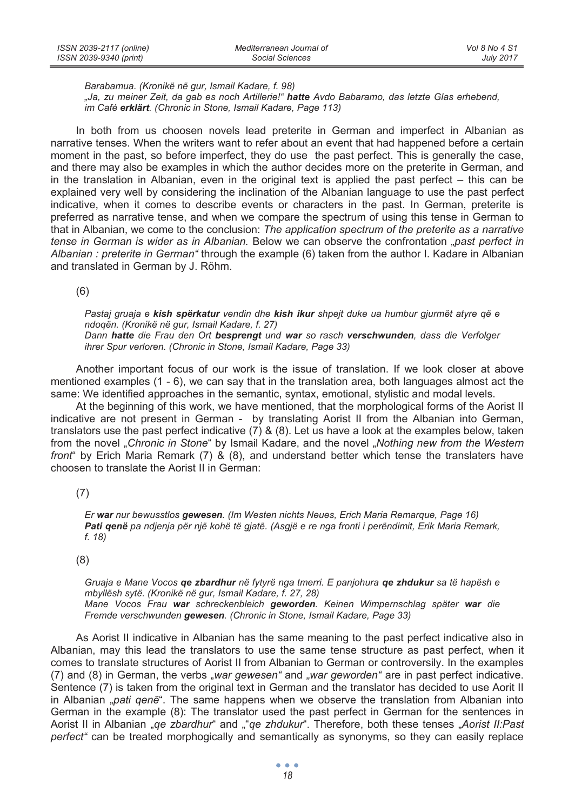| ISSN 2039-2117 (online) | Mediterranean Journal of | Vol 8 No 4 S1    |
|-------------------------|--------------------------|------------------|
| ISSN 2039-9340 (print)  | Social Sciences          | <b>July 2017</b> |

*Barabamua. (Kronikë në gur, Ismail Kadare, f. 98)* 

*"Ja, zu meiner Zeit, da gab es noch Artillerie!" hatte Avdo Babaramo, das letzte Glas erhebend, im Café erklärt. (Chronic in Stone, Ismail Kadare, Page 113)* 

In both from us choosen novels lead preterite in German and imperfect in Albanian as narrative tenses. When the writers want to refer about an event that had happened before a certain moment in the past, so before imperfect, they do use the past perfect. This is generally the case, and there may also be examples in which the author decides more on the preterite in German, and in the translation in Albanian, even in the original text is applied the past perfect – this can be explained very well by considering the inclination of the Albanian language to use the past perfect indicative, when it comes to describe events or characters in the past. In German, preterite is preferred as narrative tense, and when we compare the spectrum of using this tense in German to that in Albanian, we come to the conclusion: *The application spectrum of the preterite as a narrative tense in German is wider as in Albanian.* Below we can observe the confrontation "*past perfect in Albanian : preterite in German"* through the example (6) taken from the author I. Kadare in Albanian and translated in German by J. Röhm.

(6)

*Pastaj gruaja e kish spërkatur vendin dhe kish ikur shpejt duke ua humbur gjurmët atyre që e ndoqën. (Kronikë në gur, Ismail Kadare, f. 27) Dann hatte die Frau den Ort besprengt und war so rasch verschwunden, dass die Verfolger* 

*ihrer Spur verloren. (Chronic in Stone, Ismail Kadare, Page 33)* 

Another important focus of our work is the issue of translation. If we look closer at above mentioned examples (1 - 6), we can say that in the translation area, both languages almost act the same: We identified approaches in the semantic, syntax, emotional, stylistic and modal levels.

At the beginning of this work, we have mentioned, that the morphological forms of the Aorist II indicative are not present in German - by translating Aorist II from the Albanian into German, translators use the past perfect indicative (7) & (8). Let us have a look at the examples below, taken from the novel "*Chronic in Stone*" by Ismail Kadare, and the novel "*Nothing new from the Western front*" by Erich Maria Remark (7) & (8), and understand better which tense the translaters have choosen to translate the Aorist II in German:

(7)

*Er war nur bewusstlos gewesen. (Im Westen nichts Neues, Erich Maria Remarque, Page 16) Pati qenë pa ndjenja për një kohë të gjatë. (Asgjë e re nga fronti i perëndimit, Erik Maria Remark, f. 18)* 

#### (8)

*Gruaja e Mane Vocos qe zbardhur në fytyrë nga tmerri. E panjohura qe zhdukur sa të hapësh e mbyllësh sytë. (Kronikë në gur, Ismail Kadare, f. 27, 28) Mane Vocos Frau war schreckenbleich geworden. Keinen Wimpernschlag später war die Fremde verschwunden gewesen. (Chronic in Stone, Ismail Kadare, Page 33)* 

As Aorist II indicative in Albanian has the same meaning to the past perfect indicative also in Albanian, may this lead the translators to use the same tense structure as past perfect, when it comes to translate structures of Aorist II from Albanian to German or controversily. In the examples (7) and (8) in German, the verbs "*war gewesen"* and *"war geworden"* are in past perfect indicative. Sentence (7) is taken from the original text in German and the translator has decided to use Aorit II in Albanian "*pati qenë*". The same happens when we observe the translation from Albanian into German in the example (8): The translator used the past perfect in German for the sentences in Aorist II in Albanian "*qe zbardhur*" and ""*qe zhdukur*". Therefore, both these tenses "*Aorist II:Past perfect"* can be treated morphogically and semantically as synonyms, so they can easily replace